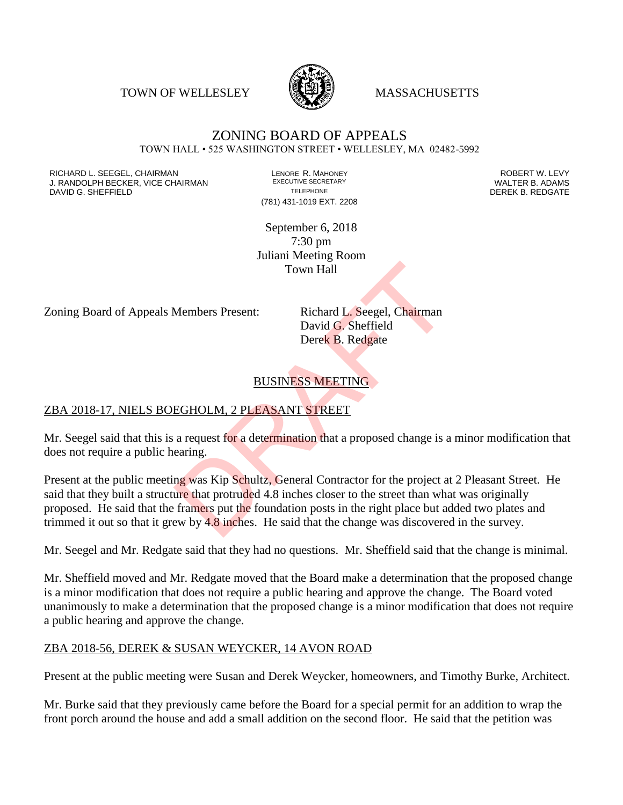TOWN OF WELLESLEY **WASSACHUSETTS** 



#### ZONING BOARD OF APPEALS TOWN HALL • 525 WASHINGTON STREET • WELLESLEY, MA 02482-5992

RICHARD L. SEEGEL, CHAIRMAN LENORE R. MAHONEY ROBERT W. LEVY J. RANDOLPH BECKER, VICE CHAIRMAN EXECUTIVE SECRETARY OF SECRETARY OF SECRETARY OF SECRETARY OF SECRETARY OF S<br>DAVID G. SHEEFIELD DAVID G. SHEFFIELD **TELEPHONE** TELEPHONE TELEPHONE **TELEPHONE DEREK B. REDGATE** 

(781) 431-1019 EXT. 2208

September 6, 2018 7:30 pm Juliani Meeting Room Town Hall

Zoning Board of Appeals Members Present: Richard L. Seegel, Chairman

David G. Sheffield Derek B. Redgate

## BUSINESS MEETING

### ZBA 2018-17, NIELS BOEGHOLM, 2 PLEASANT STREET

Mr. Seegel said that this is a request for a determination that a proposed change is a minor modification that does not require a public hearing.

Present at the public meeting was Kip Schultz, General Contractor for the project at 2 Pleasant Street. He said that they built a structure that protruded 4.8 inches closer to the street than what was originally proposed. He said that the framers put the foundation posts in the right place but added two plates and trimmed it out so that it grew by 4.8 inches. He said that the change was discovered in the survey. Town Hall<br>
Members Present: Richard L. Seegel, Chairman<br>
David G. Sheffield<br>
Derek B. Redgate<br>
BUSINESS MEETING<br>
EGHOLM, 2 PLEASANT STREET<br>
a request for a determination that a proposed change is a<br>
earing.<br>
ng was Kip Sch

Mr. Seegel and Mr. Redgate said that they had no questions. Mr. Sheffield said that the change is minimal.

Mr. Sheffield moved and Mr. Redgate moved that the Board make a determination that the proposed change is a minor modification that does not require a public hearing and approve the change. The Board voted unanimously to make a determination that the proposed change is a minor modification that does not require a public hearing and approve the change.

#### ZBA 2018-56, DEREK & SUSAN WEYCKER, 14 AVON ROAD

Present at the public meeting were Susan and Derek Weycker, homeowners, and Timothy Burke, Architect.

Mr. Burke said that they previously came before the Board for a special permit for an addition to wrap the front porch around the house and add a small addition on the second floor. He said that the petition was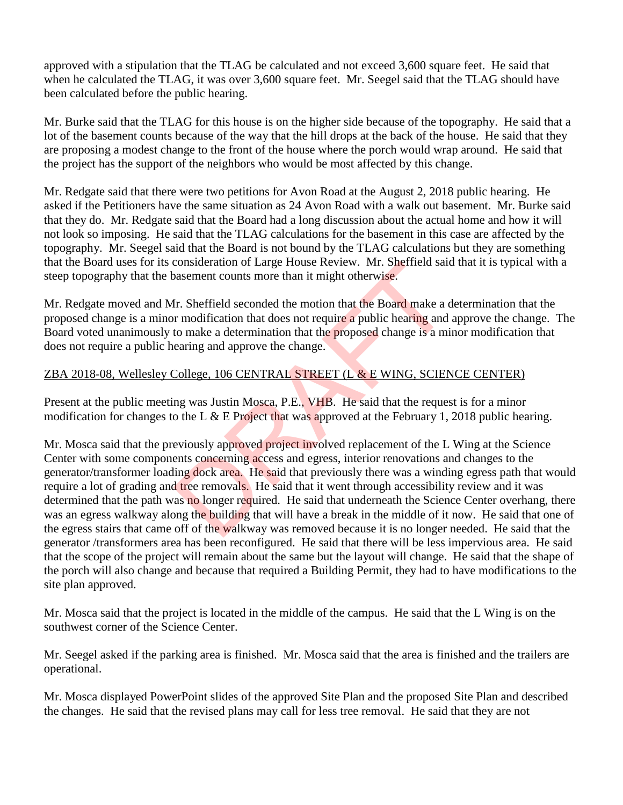approved with a stipulation that the TLAG be calculated and not exceed 3,600 square feet. He said that when he calculated the TLAG, it was over 3,600 square feet. Mr. Seegel said that the TLAG should have been calculated before the public hearing.

Mr. Burke said that the TLAG for this house is on the higher side because of the topography. He said that a lot of the basement counts because of the way that the hill drops at the back of the house. He said that they are proposing a modest change to the front of the house where the porch would wrap around. He said that the project has the support of the neighbors who would be most affected by this change.

Mr. Redgate said that there were two petitions for Avon Road at the August 2, 2018 public hearing. He asked if the Petitioners have the same situation as 24 Avon Road with a walk out basement. Mr. Burke said that they do. Mr. Redgate said that the Board had a long discussion about the actual home and how it will not look so imposing. He said that the TLAG calculations for the basement in this case are affected by the topography. Mr. Seegel said that the Board is not bound by the TLAG calculations but they are something that the Board uses for its consideration of Large House Review. Mr. Sheffield said that it is typical with a steep topography that the basement counts more than it might otherwise.

Mr. Redgate moved and Mr. Sheffield seconded the motion that the Board make a determination that the proposed change is a minor modification that does not require a public hearing and approve the change. The Board voted unanimously to make a determination that the proposed change is a minor modification that does not require a public hearing and approve the change.

### ZBA 2018-08, Wellesley College, 106 CENTRAL STREET (L & E WING, SCIENCE CENTER)

Present at the public meeting was Justin Mosca, P.E., VHB. He said that the request is for a minor modification for changes to the L  $&$  E Project that was approved at the February 1, 2018 public hearing.

Mr. Mosca said that the previously approved project involved replacement of the L Wing at the Science Center with some components concerning access and egress, interior renovations and changes to the generator/transformer loading dock area. He said that previously there was a winding egress path that would require a lot of grading and tree removals. He said that it went through accessibility review and it was determined that the path was no longer required. He said that underneath the Science Center overhang, there was an egress walkway along the building that will have a break in the middle of it now. He said that one of the egress stairs that came off of the walkway was removed because it is no longer needed. He said that the generator /transformers area has been reconfigured. He said that there will be less impervious area. He said that the scope of the project will remain about the same but the layout will change. He said that the shape of the porch will also change and because that required a Building Permit, they had to have modifications to the site plan approved. consideration of Large House Keview. Mr. Sheffield sales<br>assement counts more than it might otherwise.<br>Ir. Sheffield seconded the motion that the Board make a c<br>r modification that does not require a public hearing and<br>to

Mr. Mosca said that the project is located in the middle of the campus. He said that the L Wing is on the southwest corner of the Science Center.

Mr. Seegel asked if the parking area is finished. Mr. Mosca said that the area is finished and the trailers are operational.

Mr. Mosca displayed PowerPoint slides of the approved Site Plan and the proposed Site Plan and described the changes. He said that the revised plans may call for less tree removal. He said that they are not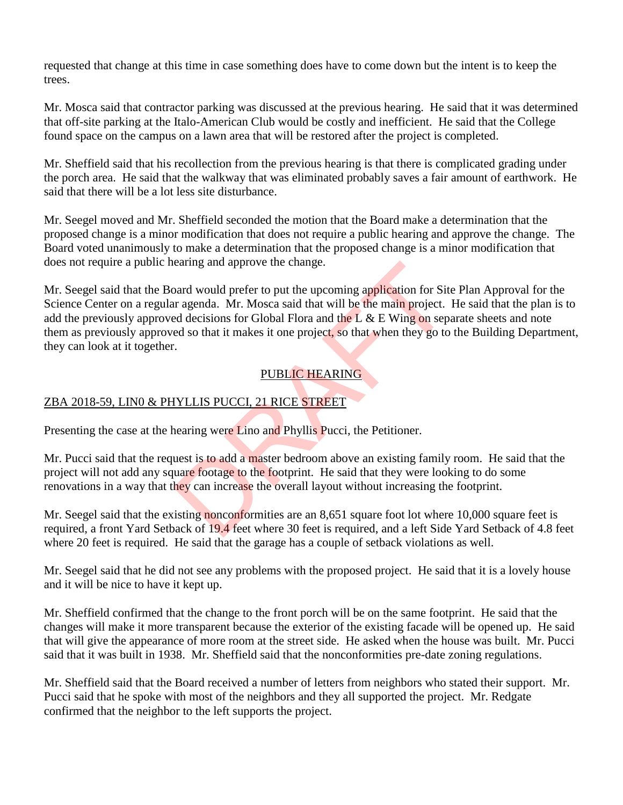requested that change at this time in case something does have to come down but the intent is to keep the trees.

Mr. Mosca said that contractor parking was discussed at the previous hearing. He said that it was determined that off-site parking at the Italo-American Club would be costly and inefficient. He said that the College found space on the campus on a lawn area that will be restored after the project is completed.

Mr. Sheffield said that his recollection from the previous hearing is that there is complicated grading under the porch area. He said that the walkway that was eliminated probably saves a fair amount of earthwork. He said that there will be a lot less site disturbance.

Mr. Seegel moved and Mr. Sheffield seconded the motion that the Board make a determination that the proposed change is a minor modification that does not require a public hearing and approve the change. The Board voted unanimously to make a determination that the proposed change is a minor modification that does not require a public hearing and approve the change.

Mr. Seegel said that the Board would prefer to put the upcoming application for Site Plan Approval for the Science Center on a regular agenda. Mr. Mosca said that will be the main project. He said that the plan is to add the previously approved decisions for Global Flora and the L  $\&$  E Wing on separate sheets and note them as previously approved so that it makes it one project, so that when they go to the Building Department, they can look at it together. earing and approve the change.<br>
Dard would prefer to put the upcoming application for Sit<br>
r agenda. Mr. Mosca said that will be the main project.<br>
Ed decisions for Global Flora and the L & E Wing on sep<br>
ed so that it mak

## PUBLIC HEARING

# ZBA 2018-59, LIN0 & PHYLLIS PUCCI, 21 RICE STREET

Presenting the case at the hearing were Lino and Phyllis Pucci, the Petitioner.

Mr. Pucci said that the request is to add a master bedroom above an existing family room. He said that the project will not add any square footage to the footprint. He said that they were looking to do some renovations in a way that they can increase the overall layout without increasing the footprint.

Mr. Seegel said that the existing nonconformities are an 8,651 square foot lot where 10,000 square feet is required, a front Yard Setback of 19.4 feet where 30 feet is required, and a left Side Yard Setback of 4.8 feet where 20 feet is required. He said that the garage has a couple of setback violations as well.

Mr. Seegel said that he did not see any problems with the proposed project. He said that it is a lovely house and it will be nice to have it kept up.

Mr. Sheffield confirmed that the change to the front porch will be on the same footprint. He said that the changes will make it more transparent because the exterior of the existing facade will be opened up. He said that will give the appearance of more room at the street side. He asked when the house was built. Mr. Pucci said that it was built in 1938. Mr. Sheffield said that the nonconformities pre-date zoning regulations.

Mr. Sheffield said that the Board received a number of letters from neighbors who stated their support. Mr. Pucci said that he spoke with most of the neighbors and they all supported the project. Mr. Redgate confirmed that the neighbor to the left supports the project.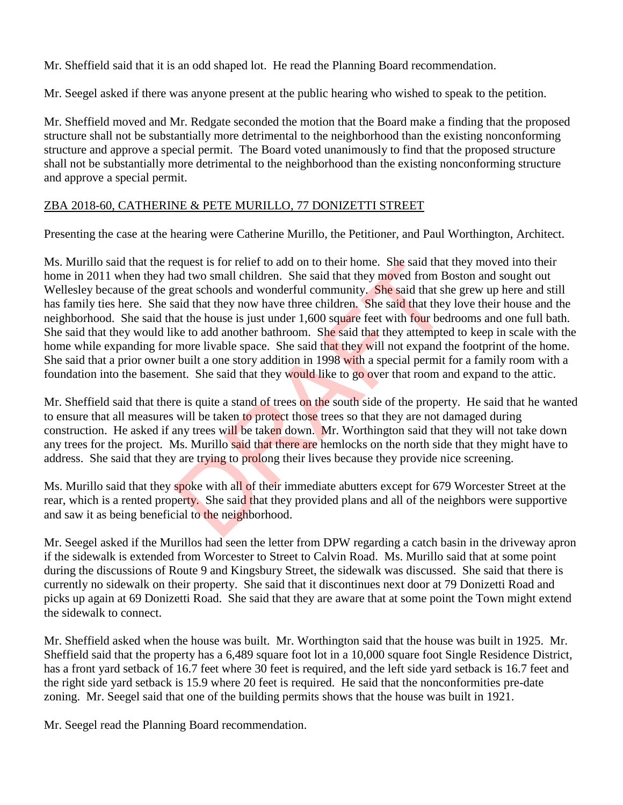Mr. Sheffield said that it is an odd shaped lot. He read the Planning Board recommendation.

Mr. Seegel asked if there was anyone present at the public hearing who wished to speak to the petition.

Mr. Sheffield moved and Mr. Redgate seconded the motion that the Board make a finding that the proposed structure shall not be substantially more detrimental to the neighborhood than the existing nonconforming structure and approve a special permit. The Board voted unanimously to find that the proposed structure shall not be substantially more detrimental to the neighborhood than the existing nonconforming structure and approve a special permit.

### ZBA 2018-60, CATHERINE & PETE MURILLO, 77 DONIZETTI STREET

Presenting the case at the hearing were Catherine Murillo, the Petitioner, and Paul Worthington, Architect.

Ms. Murillo said that the request is for relief to add on to their home. She said that they moved into their home in 2011 when they had two small children. She said that they moved from Boston and sought out Wellesley because of the great schools and wonderful community. She said that she grew up here and still has family ties here. She said that they now have three children. She said that they love their house and the neighborhood. She said that the house is just under 1,600 square feet with four bedrooms and one full bath. She said that they would like to add another bathroom. She said that they attempted to keep in scale with the home while expanding for more livable space. She said that they will not expand the footprint of the home. She said that a prior owner built a one story addition in 1998 with a special permit for a family room with a foundation into the basement. She said that they would like to go over that room and expand to the attic. equest is for relief to add on to their nome. She said that ad two small children. She said that they moved from B great schools and wonderful community. She said that she said that they now have three children. She said t

Mr. Sheffield said that there is quite a stand of trees on the south side of the property. He said that he wanted to ensure that all measures will be taken to protect those trees so that they are not damaged during construction. He asked if any trees will be taken down. Mr. Worthington said that they will not take down any trees for the project. Ms. Murillo said that there are hemlocks on the north side that they might have to address. She said that they are trying to prolong their lives because they provide nice screening.

Ms. Murillo said that they spoke with all of their immediate abutters except for 679 Worcester Street at the rear, which is a rented property. She said that they provided plans and all of the neighbors were supportive and saw it as being beneficial to the neighborhood.

Mr. Seegel asked if the Murillos had seen the letter from DPW regarding a catch basin in the driveway apron if the sidewalk is extended from Worcester to Street to Calvin Road. Ms. Murillo said that at some point during the discussions of Route 9 and Kingsbury Street, the sidewalk was discussed. She said that there is currently no sidewalk on their property. She said that it discontinues next door at 79 Donizetti Road and picks up again at 69 Donizetti Road. She said that they are aware that at some point the Town might extend the sidewalk to connect.

Mr. Sheffield asked when the house was built. Mr. Worthington said that the house was built in 1925. Mr. Sheffield said that the property has a 6,489 square foot lot in a 10,000 square foot Single Residence District, has a front yard setback of 16.7 feet where 30 feet is required, and the left side yard setback is 16.7 feet and the right side yard setback is 15.9 where 20 feet is required. He said that the nonconformities pre-date zoning. Mr. Seegel said that one of the building permits shows that the house was built in 1921.

Mr. Seegel read the Planning Board recommendation.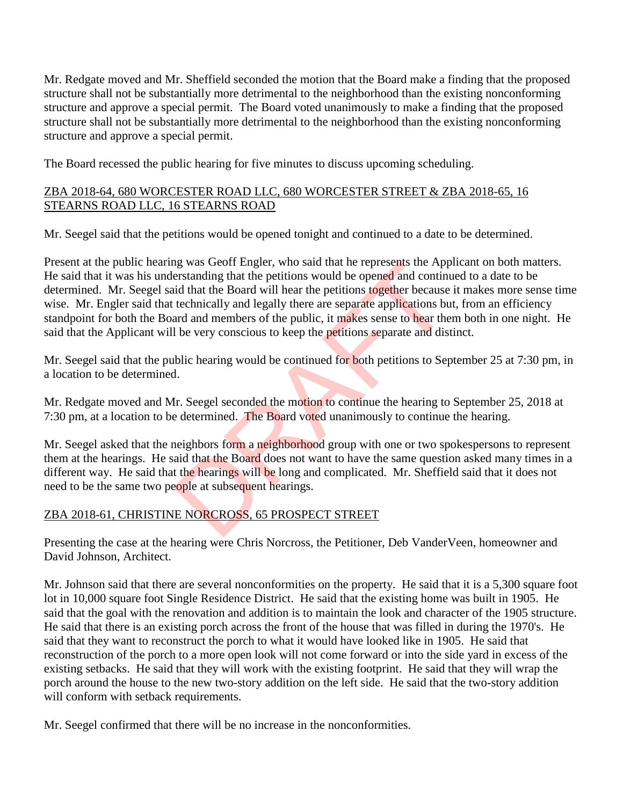Mr. Redgate moved and Mr. Sheffield seconded the motion that the Board make a finding that the proposed structure shall not be substantially more detrimental to the neighborhood than the existing nonconforming structure and approve a special permit. The Board voted unanimously to make a finding that the proposed structure shall not be substantially more detrimental to the neighborhood than the existing nonconforming structure and approve a special permit.

The Board recessed the public hearing for five minutes to discuss upcoming scheduling.

### ZBA 2018-64, 680 WORCESTER ROAD LLC, 680 WORCESTER STREET & ZBA 2018-65, 16 STEARNS ROAD LLC, 16 STEARNS ROAD

Mr. Seegel said that the petitions would be opened tonight and continued to a date to be determined.

Present at the public hearing was Geoff Engler, who said that he represents the Applicant on both matters. He said that it was his understanding that the petitions would be opened and continued to a date to be determined. Mr. Seegel said that the Board will hear the petitions together because it makes more sense time wise. Mr. Engler said that technically and legally there are separate applications but, from an efficiency standpoint for both the Board and members of the public, it makes sense to hear them both in one night. He said that the Applicant will be very conscious to keep the petitions separate and distinct. ng was Georf Engler, who said that he represents the Apperstanding that the petitions would be opened and continuid that the Board will hear the petitions together because technically and legally there are separate applica

Mr. Seegel said that the public hearing would be continued for both petitions to September 25 at 7:30 pm, in a location to be determined.

Mr. Redgate moved and Mr. Seegel seconded the motion to continue the hearing to September 25, 2018 at 7:30 pm, at a location to be determined. The Board voted unanimously to continue the hearing.

Mr. Seegel asked that the neighbors form a neighborhood group with one or two spokespersons to represent them at the hearings. He said that the Board does not want to have the same question asked many times in a different way. He said that the hearings will be long and complicated. Mr. Sheffield said that it does not need to be the same two people at subsequent hearings.

# ZBA 2018-61, CHRISTINE NORCROSS, 65 PROSPECT STREET

Presenting the case at the hearing were Chris Norcross, the Petitioner, Deb VanderVeen, homeowner and David Johnson, Architect.

Mr. Johnson said that there are several nonconformities on the property. He said that it is a 5,300 square foot lot in 10,000 square foot Single Residence District. He said that the existing home was built in 1905. He said that the goal with the renovation and addition is to maintain the look and character of the 1905 structure. He said that there is an existing porch across the front of the house that was filled in during the 1970's. He said that they want to reconstruct the porch to what it would have looked like in 1905. He said that reconstruction of the porch to a more open look will not come forward or into the side yard in excess of the existing setbacks. He said that they will work with the existing footprint. He said that they will wrap the porch around the house to the new two-story addition on the left side. He said that the two-story addition will conform with setback requirements.

Mr. Seegel confirmed that there will be no increase in the nonconformities.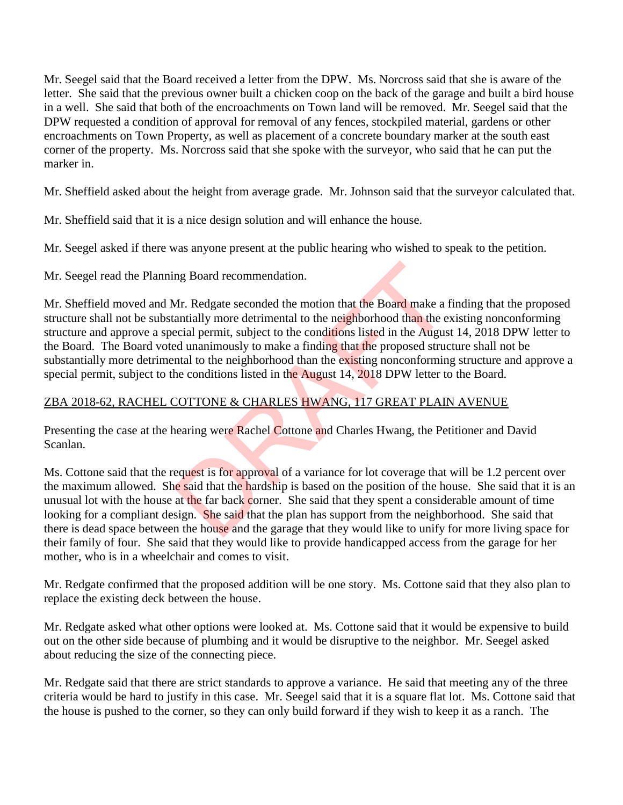Mr. Seegel said that the Board received a letter from the DPW. Ms. Norcross said that she is aware of the letter. She said that the previous owner built a chicken coop on the back of the garage and built a bird house in a well. She said that both of the encroachments on Town land will be removed. Mr. Seegel said that the DPW requested a condition of approval for removal of any fences, stockpiled material, gardens or other encroachments on Town Property, as well as placement of a concrete boundary marker at the south east corner of the property. Ms. Norcross said that she spoke with the surveyor, who said that he can put the marker in.

Mr. Sheffield asked about the height from average grade. Mr. Johnson said that the surveyor calculated that.

Mr. Sheffield said that it is a nice design solution and will enhance the house.

Mr. Seegel asked if there was anyone present at the public hearing who wished to speak to the petition.

Mr. Seegel read the Planning Board recommendation.

Mr. Sheffield moved and Mr. Redgate seconded the motion that the Board make a finding that the proposed structure shall not be substantially more detrimental to the neighborhood than the existing nonconforming structure and approve a special permit, subject to the conditions listed in the August 14, 2018 DPW letter to the Board. The Board voted unanimously to make a finding that the proposed structure shall not be substantially more detrimental to the neighborhood than the existing nonconforming structure and approve a special permit, subject to the conditions listed in the August 14, 2018 DPW letter to the Board. ng Board recommendation.<br>Mr. Redgate seconded the motion that the Board make a fantially more detrimental to the neighborhood than the escial permit, subject to the conditions listed in the August<br>antial to the neighborhoo

## ZBA 2018-62, RACHEL COTTONE & CHARLES HWANG, 117 GREAT PLAIN AVENUE

Presenting the case at the hearing were Rachel Cottone and Charles Hwang, the Petitioner and David Scanlan.

Ms. Cottone said that the request is for approval of a variance for lot coverage that will be 1.2 percent over the maximum allowed. She said that the hardship is based on the position of the house. She said that it is an unusual lot with the house at the far back corner. She said that they spent a considerable amount of time looking for a compliant design. She said that the plan has support from the neighborhood. She said that there is dead space between the house and the garage that they would like to unify for more living space for their family of four. She said that they would like to provide handicapped access from the garage for her mother, who is in a wheelchair and comes to visit.

Mr. Redgate confirmed that the proposed addition will be one story. Ms. Cottone said that they also plan to replace the existing deck between the house.

Mr. Redgate asked what other options were looked at. Ms. Cottone said that it would be expensive to build out on the other side because of plumbing and it would be disruptive to the neighbor. Mr. Seegel asked about reducing the size of the connecting piece.

Mr. Redgate said that there are strict standards to approve a variance. He said that meeting any of the three criteria would be hard to justify in this case. Mr. Seegel said that it is a square flat lot. Ms. Cottone said that the house is pushed to the corner, so they can only build forward if they wish to keep it as a ranch. The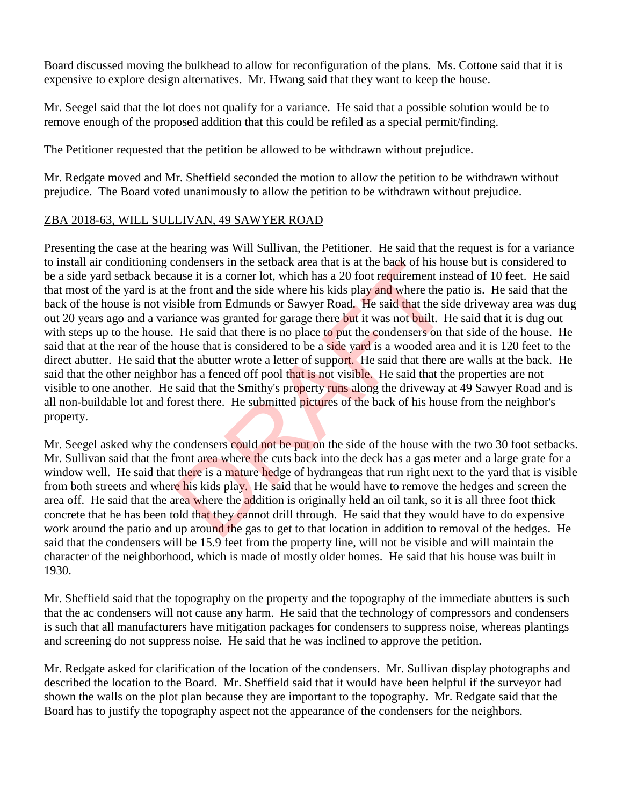Board discussed moving the bulkhead to allow for reconfiguration of the plans. Ms. Cottone said that it is expensive to explore design alternatives. Mr. Hwang said that they want to keep the house.

Mr. Seegel said that the lot does not qualify for a variance. He said that a possible solution would be to remove enough of the proposed addition that this could be refiled as a special permit/finding.

The Petitioner requested that the petition be allowed to be withdrawn without prejudice.

Mr. Redgate moved and Mr. Sheffield seconded the motion to allow the petition to be withdrawn without prejudice. The Board voted unanimously to allow the petition to be withdrawn without prejudice.

### ZBA 2018-63, WILL SULLIVAN, 49 SAWYER ROAD

Presenting the case at the hearing was Will Sullivan, the Petitioner. He said that the request is for a variance to install air conditioning condensers in the setback area that is at the back of his house but is considered to be a side yard setback because it is a corner lot, which has a 20 foot requirement instead of 10 feet. He said that most of the yard is at the front and the side where his kids play and where the patio is. He said that the back of the house is not visible from Edmunds or Sawyer Road. He said that the side driveway area was dug out 20 years ago and a variance was granted for garage there but it was not built. He said that it is dug out with steps up to the house. He said that there is no place to put the condensers on that side of the house. He said that at the rear of the house that is considered to be a side yard is a wooded area and it is 120 feet to the direct abutter. He said that the abutter wrote a letter of support. He said that there are walls at the back. He said that the other neighbor has a fenced off pool that is not visible. He said that the properties are not visible to one another. He said that the Smithy's property runs along the driveway at 49 Sawyer Road and is all non-buildable lot and forest there. He submitted pictures of the back of his house from the neighbor's property. condensers in the setback area that is at the back of his not<br>use it is a corner lot, which has a 20 foot requirement ins<br>the front and the side where his kids play and where the p<br>sible from Edmunds or Sawyer Road. He sai

Mr. Seegel asked why the condensers could not be put on the side of the house with the two 30 foot setbacks. Mr. Sullivan said that the front area where the cuts back into the deck has a gas meter and a large grate for a window well. He said that there is a mature hedge of hydrangeas that run right next to the yard that is visible from both streets and where his kids play. He said that he would have to remove the hedges and screen the area off. He said that the area where the addition is originally held an oil tank, so it is all three foot thick concrete that he has been told that they cannot drill through. He said that they would have to do expensive work around the patio and up around the gas to get to that location in addition to removal of the hedges. He said that the condensers will be 15.9 feet from the property line, will not be visible and will maintain the character of the neighborhood, which is made of mostly older homes. He said that his house was built in 1930.

Mr. Sheffield said that the topography on the property and the topography of the immediate abutters is such that the ac condensers will not cause any harm. He said that the technology of compressors and condensers is such that all manufacturers have mitigation packages for condensers to suppress noise, whereas plantings and screening do not suppress noise. He said that he was inclined to approve the petition.

Mr. Redgate asked for clarification of the location of the condensers. Mr. Sullivan display photographs and described the location to the Board. Mr. Sheffield said that it would have been helpful if the surveyor had shown the walls on the plot plan because they are important to the topography. Mr. Redgate said that the Board has to justify the topography aspect not the appearance of the condensers for the neighbors.